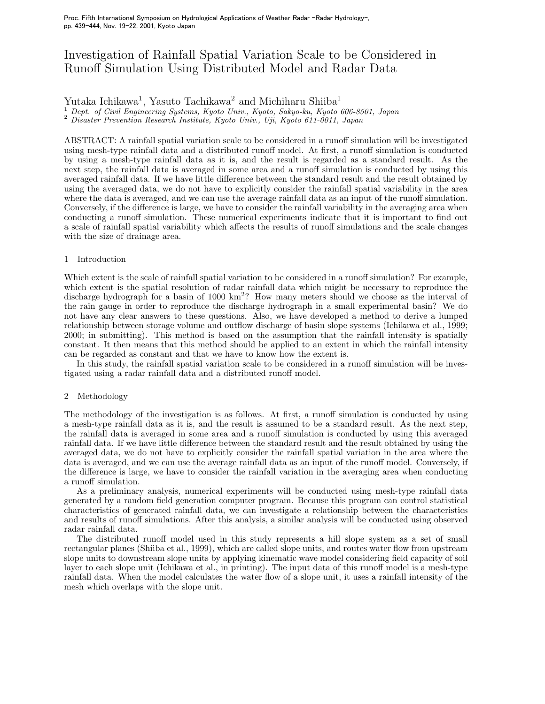# Investigation of Rainfall Spatial Variation Scale to be Considered in Runoff Simulation Using Distributed Model and Radar Data

## Yutaka Ichikawa<sup>1</sup>, Yasuto Tachikawa<sup>2</sup> and Michiharu Shiiba<sup>1</sup>

 $\frac{1}{2}$  Dept. of Civil Engineering Systems, Kyoto Univ., Kyoto, Sakyo-ku, Kyoto 606-8501, Japan

<sup>2</sup> Disaster Prevention Research Institute, Kyoto Univ., Uni, Kyoto 611-0011, Japan *Disaster Prevention Research Institute, Kyoto Univ., Uji, Kyoto 611-0011, Japan*

ABSTRACT: A rainfall spatial variation scale to be considered in a runoff simulation will be investigated using mesh-type rainfall data and a distributed runoff model. At first, a runoff simulation is conducted by using a mesh-type rainfall data as it is, and the result is regarded as a standard result. As the next step, the rainfall data is averaged in some area and a runoff simulation is conducted by using this averaged rainfall data. If we have little difference between the standard result and the result obtained by using the averaged data, we do not have to explicitly consider the rainfall spatial variability in the area where the data is averaged, and we can use the average rainfall data as an input of the runoff simulation. Conversely, if the difference is large, we have to consider the rainfall variability in the averaging area when conducting a runoff simulation. These numerical experiments indicate that it is important to find out a scale of rainfall spatial variability which affects the results of runoff simulations and the scale changes with the size of drainage area.

## 1 Introduction

Which extent is the scale of rainfall spatial variation to be considered in a runoff simulation? For example, which extent is the spatial resolution of radar rainfall data which might be necessary to reproduce the discharge hydrograph for a basin of  $1000 \text{ km}^2$ ? How many meters should we choose as the interval of the rain gauge in order to reproduce the discharge hydrograph in a small experimental basin? We do not have any clear answers to these questions. Also, we have developed a method to derive a lumped relationship between storage volume and outflow discharge of basin slope systems (Ichikawa et al., 1999; 2000; in submitting). This method is based on the assumption that the rainfall intensity is spatially constant. It then means that this method should be applied to an extent in which the rainfall intensity can be regarded as constant and that we have to know how the extent is.

In this study, the rainfall spatial variation scale to be considered in a runoff simulation will be investigated using a radar rainfall data and a distributed runoff model.

## 2 Methodology

The methodology of the investigation is as follows. At first, a runoff simulation is conducted by using a mesh-type rainfall data as it is, and the result is assumed to be a standard result. As the next step, the rainfall data is averaged in some area and a runoff simulation is conducted by using this averaged rainfall data. If we have little difference between the standard result and the result obtained by using the averaged data, we do not have to explicitly consider the rainfall spatial variation in the area where the data is averaged, and we can use the average rainfall data as an input of the runoff model. Conversely, if the difference is large, we have to consider the rainfall variation in the averaging area when conducting a runoff simulation.

As a preliminary analysis, numerical experiments will be conducted using mesh-type rainfall data generated by a random field generation computer program. Because this program can control statistical characteristics of generated rainfall data, we can investigate a relationship between the characteristics and results of runoff simulations. After this analysis, a similar analysis will be conducted using observed radar rainfall data.

The distributed runoff model used in this study represents a hill slope system as a set of small rectangular planes (Shiiba et al., 1999), which are called slope units, and routes water flow from upstream slope units to downstream slope units by applying kinematic wave model considering field capacity of soil layer to each slope unit (Ichikawa et al., in printing). The input data of this runoff model is a mesh-type rainfall data. When the model calculates the water flow of a slope unit, it uses a rainfall intensity of the mesh which overlaps with the slope unit.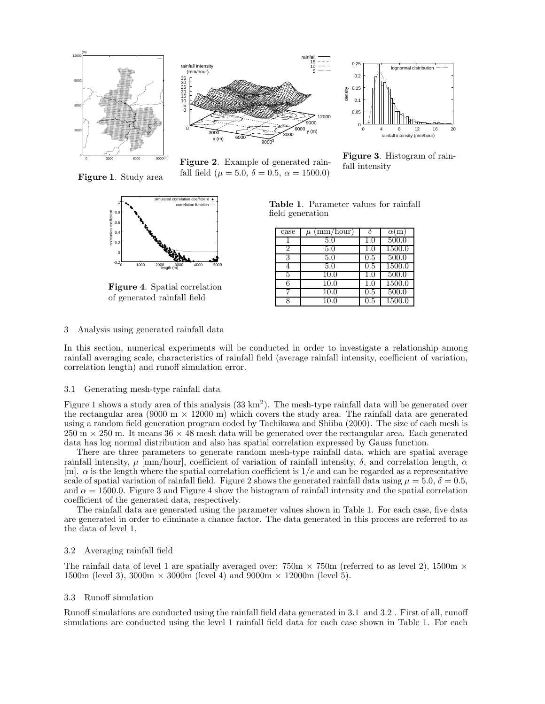

**Figure 1**. Study area



**Figure 4**. Spatial correlation of generated rainfall field



0  $0.0$  $\overline{0}$ .  $0.15$ 0.2 0.25 0 4 8 12 16 20 density rainfall intensity (mm/hour) lognormal distribution

**Figure 2**. Example of generated rainfall field ( $\mu = 5.0, \delta = 0.5, \alpha = 1500.0$ )

fall intensity

**Figure 3**. Histogram of rain-

| case | (mm/hour) |     | $\alpha(m)$ |
|------|-----------|-----|-------------|
|      | 5.0       | 1.0 | 500.0       |
|      | 5.0       | 1.0 | 1500.0      |
| 3    | 5.0       | 0.5 | 500.0       |
|      | 5.0       | 0.5 | 1500.0      |
| 5    | 10.0      | 1.0 | 500.0       |
|      | 10.0      | 1.0 | 1500.0      |
|      | 10.0      | 0.5 | 500.0       |
|      | 10.0      | 0.5 | 1500.0      |

**Table 1**. Parameter values for rainfall

field generation

## 3 Analysis using generated rainfall data

In this section, numerical experiments will be conducted in order to investigate a relationship among rainfall averaging scale, characteristics of rainfall field (average rainfall intensity, coefficient of variation, correlation length) and runoff simulation error.

## 3.1 Generating mesh-type rainfall data

Figure 1 shows a study area of this analysis  $(33 \text{ km}^2)$ . The mesh-type rainfall data will be generated over the rectangular area (9000 m  $\times$  12000 m) which covers the study area. The rainfall data are generated using a random field generation program coded by Tachikawa and Shiiba (2000). The size of each mesh is 250 m *×* 250 m. It means 36 *×* 48 mesh data will be generated over the rectangular area. Each generated data has log normal distribution and also has spatial correlation expressed by Gauss function.

There are three parameters to generate random mesh-type rainfall data, which are spatial average rainfall intensity,  $\mu$  [mm/hour], coefficient of variation of rainfall intensity, δ, and correlation length, α [m].  $\alpha$  is the length where the spatial correlation coefficient is  $1/e$  and can be regarded as a representative scale of spatial variation of rainfall field. Figure 2 shows the generated rainfall data using  $\mu = 5.0, \delta = 0.5$ . and  $\alpha = 1500.0$ . Figure 3 and Figure 4 show the histogram of rainfall intensity and the spatial correlation coefficient of the generated data, respectively.

The rainfall data are generated using the parameter values shown in Table 1. For each case, five data are generated in order to eliminate a chance factor. The data generated in this process are referred to as the data of level 1.

## 3.2 Averaging rainfall field

The rainfall data of level 1 are spatially averaged over:  $750m \times 750m$  (referred to as level 2),  $1500m \times$ 1500m (level 3), 3000m *×* 3000m (level 4) and 9000m *×* 12000m (level 5).

#### 3.3 Runoff simulation

Runoff simulations are conducted using the rainfall field data generated in 3.1 and 3.2 . First of all, runoff simulations are conducted using the level 1 rainfall field data for each case shown in Table 1. For each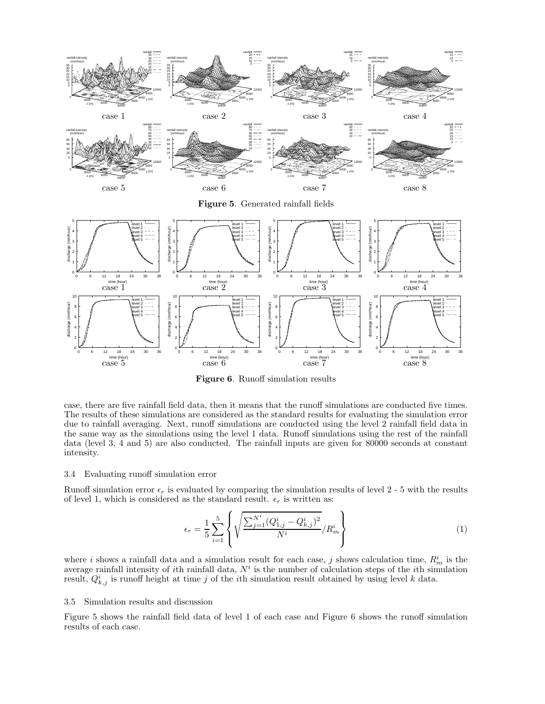

**Figure 6**. Runoff simulation results

case, there are five rainfall field data, then it means that the runoff simulations are conducted five times. The results of these simulations are considered as the standard results for evaluating the simulation error due to rainfall averaging. Next, runoff simulations are conducted using the level 2 rainfall field data in the same way as the simulations using the level 1 data. Runoff simulations using the rest of the rainfall data (level 3, 4 and 5) are also conducted. The rainfall inputs are given for 80000 seconds at constant intensity.

## 3.4 Evaluating runoff simulation error

Runoff simulation error  $\epsilon_r$  is evaluated by comparing the simulation results of level 2 - 5 with the results of level 1, which is considered as the standard result.  $\epsilon_r$  is written as:

$$
\epsilon_r = \frac{1}{5} \sum_{i=1}^{5} \left\{ \sqrt{\frac{\sum_{j=1}^{N^i} (Q_{1,j}^i - Q_{k,j}^i)^2}{N^i}} / R_m^i \right\}
$$
(1)

where i shows a rainfall data and a simulation result for each case, j shows calculation time,  $R_m^i$  is the average rainfall intensity of ith rainfall data,  $N<sup>i</sup>$  is the number of calculation steps of the ith simulation result,  $Q_{k,j}^i$  is runoff height at time j of the ith simulation result obtained by using level k data.

## 3.5 Simulation results and discussion

Figure 5 shows the rainfall field data of level 1 of each case and Figure 6 shows the runoff simulation results of each case.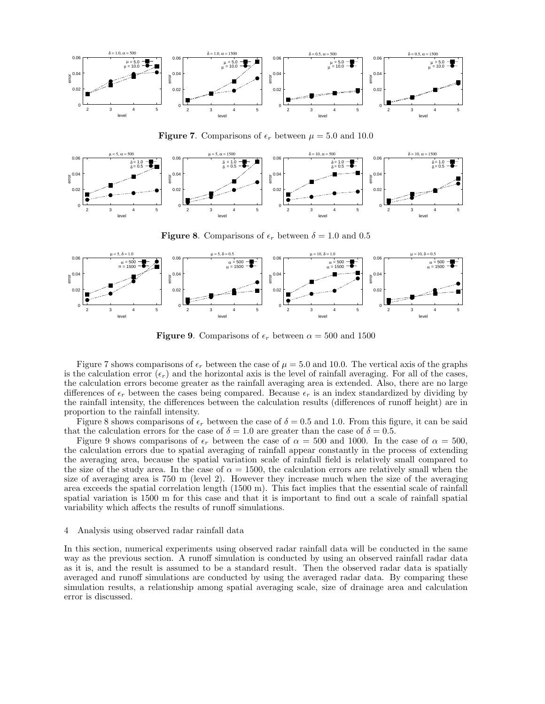

**Figure 7**. Comparisons of  $\epsilon_r$  between  $\mu = 5.0$  and 10.0



**Figure 8.** Comparisons of  $\epsilon_r$  between  $\delta = 1.0$  and 0.5



**Figure 9**. Comparisons of  $\epsilon_r$  between  $\alpha = 500$  and 1500

Figure 7 shows comparisons of  $\epsilon_r$  between the case of  $\mu = 5.0$  and 10.0. The vertical axis of the graphs is the calculation error  $(\epsilon_r)$  and the horizontal axis is the level of rainfall averaging. For all of the cases, the calculation errors become greater as the rainfall averaging area is extended. Also, there are no large differences of  $\epsilon_r$  between the cases being compared. Because  $\epsilon_r$  is an index standardized by dividing by the rainfall intensity, the differences between the calculation results (differences of runoff height) are in proportion to the rainfall intensity.

Figure 8 shows comparisons of  $\epsilon_r$  between the case of  $\delta = 0.5$  and 1.0. From this figure, it can be said that the calculation errors for the case of  $\delta = 1.0$  are greater than the case of  $\delta = 0.5$ .

Figure 9 shows comparisons of  $\epsilon_r$  between the case of  $\alpha = 500$  and 1000. In the case of  $\alpha = 500$ , the calculation errors due to spatial averaging of rainfall appear constantly in the process of extending the averaging area, because the spatial variation scale of rainfall field is relatively small compared to the size of the study area. In the case of  $\alpha = 1500$ , the calculation errors are relatively small when the size of averaging area is 750 m (level 2). However they increase much when the size of the averaging area exceeds the spatial correlation length (1500 m). This fact implies that the essential scale of rainfall spatial variation is 1500 m for this case and that it is important to find out a scale of rainfall spatial variability which affects the results of runoff simulations.

## 4 Analysis using observed radar rainfall data

In this section, numerical experiments using observed radar rainfall data will be conducted in the same way as the previous section. A runoff simulation is conducted by using an observed rainfall radar data as it is, and the result is assumed to be a standard result. Then the observed radar data is spatially averaged and runoff simulations are conducted by using the averaged radar data. By comparing these simulation results, a relationship among spatial averaging scale, size of drainage area and calculation error is discussed.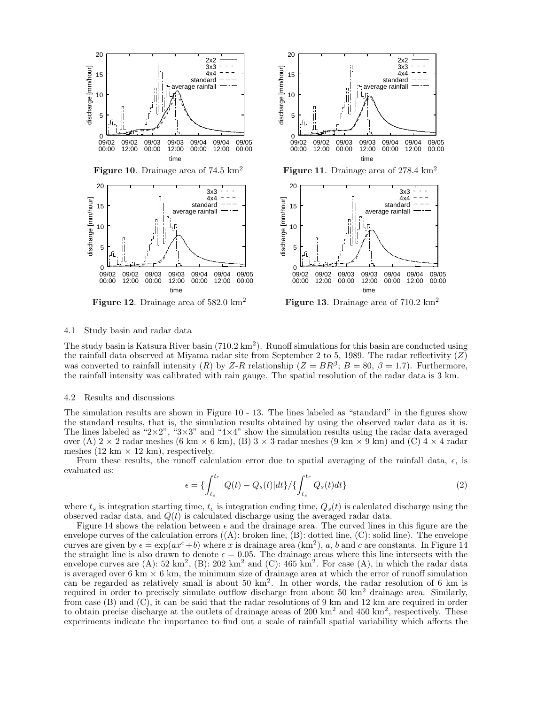

#### 4.1 Study basin and radar data

The study basin is Katsura River basin  $(710.2 \text{ km}^2)$ . Runoff simulations for this basin are conducted using the rainfall data observed at Miyama radar site from September 2 to 5, 1989. The radar reflectivity  $(Z)$ was converted to rainfall intensity (R) by Z-R relationship ( $Z = BR^{\beta}$ ;  $B = 80$ ,  $\beta = 1.7$ ). Furthermore, the rainfall intensity was calibrated with rain gauge. The spatial resolution of the radar data is 3 km.

## 4.2 Results and discussions

The simulation results are shown in Figure 10 - 13. The lines labeled as "standard" in the figures show the standard results, that is, the simulation results obtained by using the observed radar data as it is. The lines labeled as "2*×*2", "3*×*3" and "4*×*4" show the simulation results using the radar data averaged over (A)  $2 \times 2$  radar meshes (6 km  $\times$  6 km), (B)  $3 \times 3$  radar meshes (9 km  $\times$  9 km) and (C)  $4 \times 4$  radar meshes  $(12 \text{ km} \times 12 \text{ km})$ , respectively.

From these results, the runoff calculation error due to spatial averaging of the rainfall data,  $\epsilon$ , is evaluated as:

$$
\epsilon = \left\{ \int_{t_s}^{t_e} |Q(t) - Q_s(t)| dt \right\} / \left\{ \int_{t_s}^{t_e} Q_s(t) dt \right\} \tag{2}
$$

09/05 00:00

where  $t_s$  is integration starting time,  $t_e$  is integration ending time,  $Q_s(t)$  is calculated discharge using the observed radar data, and  $Q(t)$  is calculated discharge using the averaged radar data.

Figure 14 shows the relation between  $\epsilon$  and the drainage area. The curved lines in this figure are the envelope curves of the calculation errors  $((A):$  broken line,  $(B):$  dotted line,  $(C):$  solid line). The envelope curves are given by  $\epsilon = \exp(ax^c + b)$  where x is drainage area  $(km^2)$ , a, b and c are constants. In Figure 14 the straight line is also drawn to denote  $\epsilon = 0.05$ . The drainage areas where this line intersects with the envelope curves are  $(A)$ : 52 km<sup>2</sup>,  $(B)$ : 202 km<sup>2</sup> and  $(C)$ : 465 km<sup>2</sup>. For case  $(A)$ , in which the radar data is averaged over 6 km *×* 6 km, the minimum size of drainage area at which the error of runoff simulation can be regarded as relatively small is about  $50 \text{ km}^2$ . In other words, the radar resolution of 6 km is required in order to precisely simulate outflow discharge from about 50  $km<sup>2</sup>$  drainage area. Similarly, from case (B) and (C), it can be said that the radar resolutions of 9 km and 12 km are required in order to obtain precise discharge at the outlets of drainage areas of  $200 \text{ km}^2$  and  $450 \text{ km}^2$ , respectively. These experiments indicate the importance to find out a scale of rainfall spatial variability which affects the